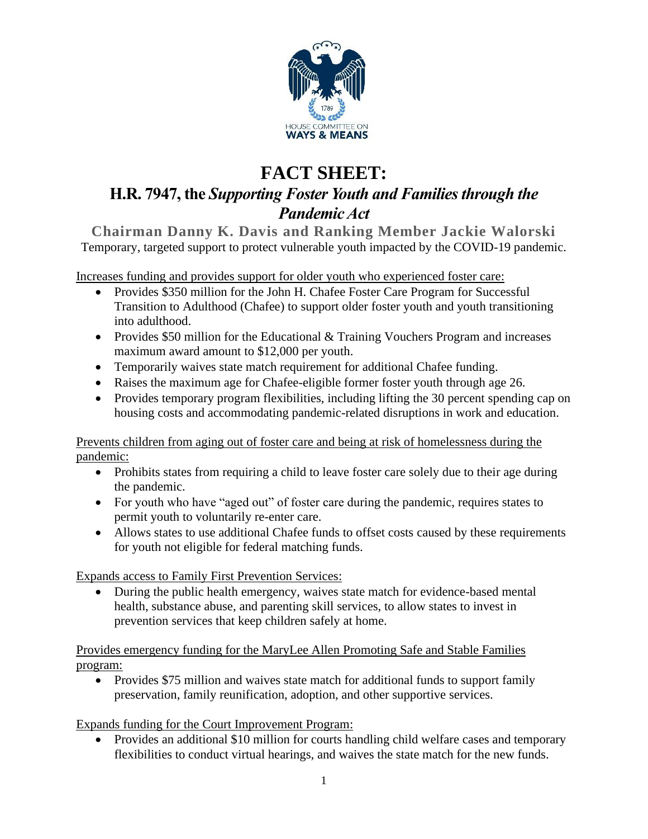

## **FACT SHEET:**

## **H.R. 7947, the** *Supporting Foster Youth and Families through the Pandemic Act*

**Chairman Danny K. Davis and Ranking Member Jackie Walorski** Temporary, targeted support to protect vulnerable youth impacted by the COVID-19 pandemic.

Increases funding and provides support for older youth who experienced foster care:

- Provides \$350 million for the John H. Chafee Foster Care Program for Successful Transition to Adulthood (Chafee) to support older foster youth and youth transitioning into adulthood.
- Provides \$50 million for the Educational & Training Vouchers Program and increases maximum award amount to \$12,000 per youth.
- Temporarily waives state match requirement for additional Chafee funding.
- Raises the maximum age for Chafee-eligible former foster youth through age 26.
- Provides temporary program flexibilities, including lifting the 30 percent spending cap on housing costs and accommodating pandemic-related disruptions in work and education.

Prevents children from aging out of foster care and being at risk of homelessness during the pandemic:

- Prohibits states from requiring a child to leave foster care solely due to their age during the pandemic.
- For youth who have "aged out" of foster care during the pandemic, requires states to permit youth to voluntarily re-enter care.
- Allows states to use additional Chafee funds to offset costs caused by these requirements for youth not eligible for federal matching funds.

Expands access to Family First Prevention Services:

• During the public health emergency, waives state match for evidence-based mental health, substance abuse, and parenting skill services, to allow states to invest in prevention services that keep children safely at home.

Provides emergency funding for the MaryLee Allen Promoting Safe and Stable Families program:

• Provides \$75 million and waives state match for additional funds to support family preservation, family reunification, adoption, and other supportive services.

## Expands funding for the Court Improvement Program:

• Provides an additional \$10 million for courts handling child welfare cases and temporary flexibilities to conduct virtual hearings, and waives the state match for the new funds.